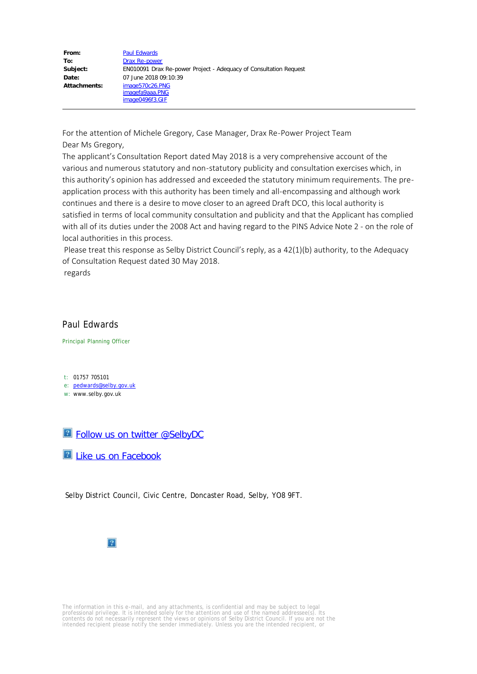| From:               | <b>Paul Edwards</b>                                               |
|---------------------|-------------------------------------------------------------------|
| To:                 | Drax Re-power                                                     |
| Subject:            | EN010091 Drax Re-power Project - Adequacy of Consultation Request |
| Date:               | 07 June 2018 09:10:39                                             |
| <b>Attachments:</b> | image570c26.PNG<br>imagefa9aaa.PNG<br>image0496f3.GIF             |

For the attention of Michele Gregory, Case Manager, Drax Re-Power Project Team Dear Ms Gregory,

The applicant's Consultation Report dated May 2018 is a very comprehensive account of the various and numerous statutory and non-statutory publicity and consultation exercises which, in this authority's opinion has addressed and exceeded the statutory minimum requirements. The preapplication process with this authority has been timely and all-encompassing and although work continues and there is a desire to move closer to an agreed Draft DCO, this local authority is satisfied in terms of local community consultation and publicity and that the Applicant has complied with all of its duties under the 2008 Act and having regard to the PINS Advice Note 2 - on the role of local authorities in this process.

Please treat this response as Selby District Council's reply, as a 42(1)(b) authority, to the Adequacy of Consultation Request dated 30 May 2018.

regards

## Paul Edwards

Principal Planning Officer

t: 01757 705101

e: [pedwards@selby.gov.uk](mailto:pedwards@selby.gov.uk)

w: www.selby.gov.uk



**E** [Like us on Facebook](https://www.facebook.com/SelbyDC?fref=ts)

Selby District Council, Civic Centre, Doncaster Road, Selby, YO8 9FT.



The information in this e-mail, and any attachments, is confidential and may be subject to legal<br>professional privilege. It is intended solely for the attention and use of the named addressee(s). Its<br>contents do not necess intended recipient please notify the sender immediately. Unless you are the intended recipient, or